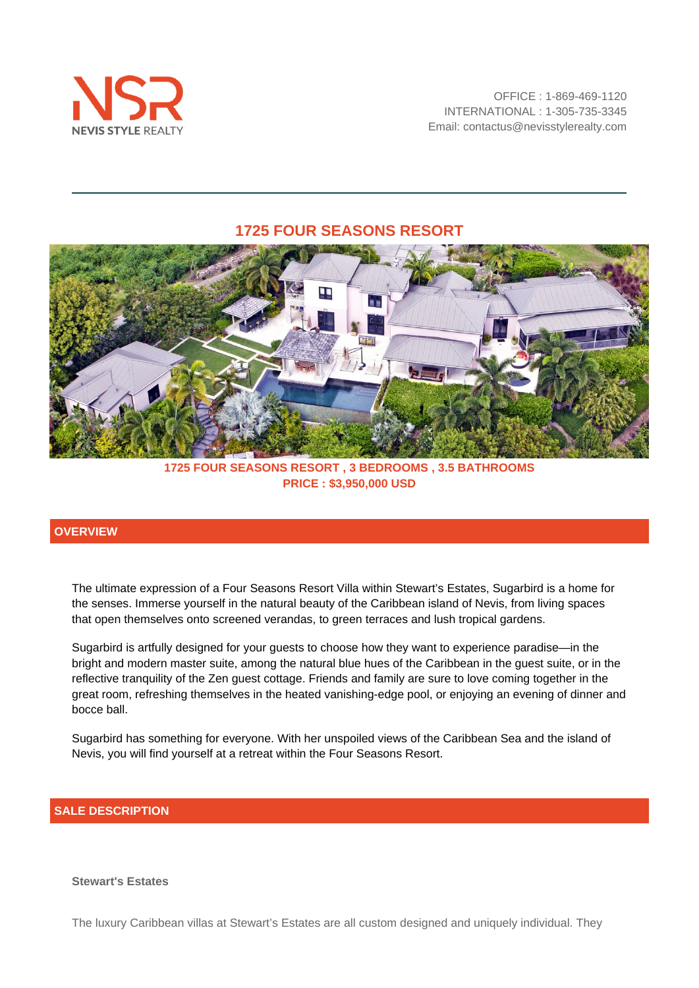

## **1725 FOUR SEASONS RESORT**



**1725 FOUR SEASONS RESORT , 3 BEDROOMS , 3.5 BATHROOMS PRICE : \$3,950,000 USD**

### **OVERVIEW**

The ultimate expression of a Four Seasons Resort Villa within Stewart's Estates, Sugarbird is a home for the senses. Immerse yourself in the natural beauty of the Caribbean island of Nevis, from living spaces that open themselves onto screened verandas, to green terraces and lush tropical gardens.

Sugarbird is artfully designed for your guests to choose how they want to experience paradise—in the bright and modern master suite, among the natural blue hues of the Caribbean in the guest suite, or in the reflective tranquility of the Zen guest cottage. Friends and family are sure to love coming together in the great room, refreshing themselves in the heated vanishing-edge pool, or enjoying an evening of dinner and bocce ball.

Sugarbird has something for everyone. With her unspoiled views of the Caribbean Sea and the island of Nevis, you will find yourself at a retreat within the Four Seasons Resort.

#### **SALE DESCRIPTION**

#### **Stewart's Estates**

The luxury Caribbean villas at Stewart's Estates are all custom designed and uniquely individual. They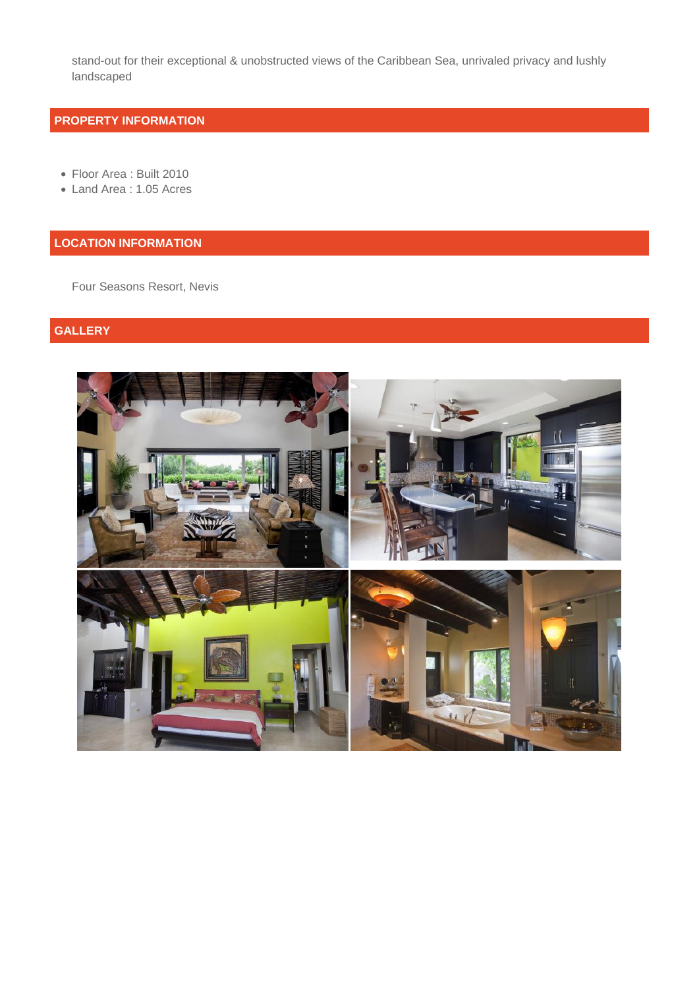stand-out for their exceptional & unobstructed views of the Caribbean Sea, unrivaled privacy and lushly landscaped

## **PROPERTY INFORMATION**

- Floor Area : Built 2010
- Land Area : 1.05 Acres

## **LOCATION INFORMATION**

Four Seasons Resort, Nevis

# **GALLERY**